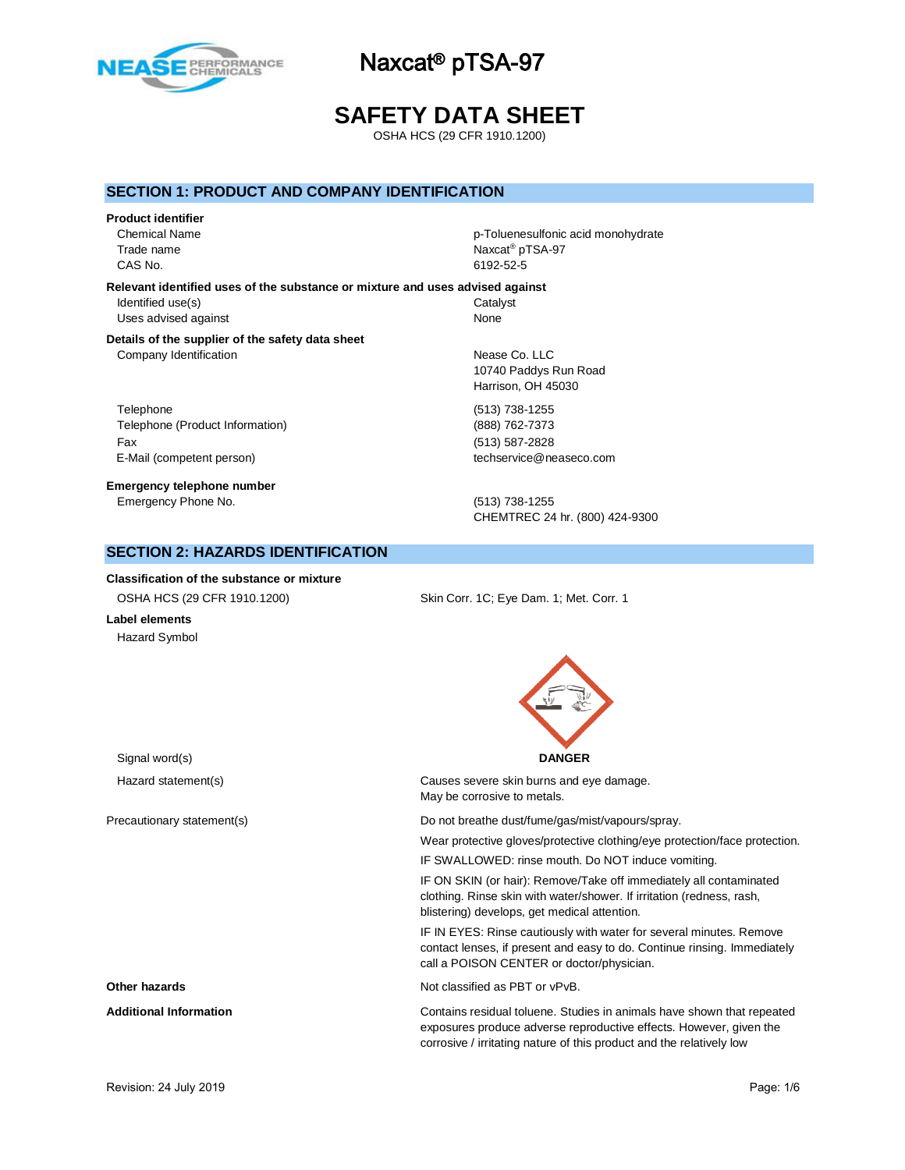

# **SAFETY DATA SHEET**

OSHA HCS (29 CFR 1910.1200)

## **SECTION 1: PRODUCT AND COMPANY IDENTIFICATION**

#### **Product identifier**

Trade name CAS No. 6192-52-5

Chemical Name p-Toluenesulfonic acid monohydrate Naxcat<sup>®</sup> pTSA-97

#### **Relevant identified uses of the substance or mixture and uses advised against** Identified use(s) Catalyst Uses advised against None

#### **Details of the supplier of the safety data sheet** Company Identification **Nearly 10** and 200 and 200 and 200 and 200 and 200 and 200 and 200 and 200 and 200 and 200 and 200 and 200 and 200 and 200 and 200 and 200 and 200 and 200 and 200 and 200 and 200 and 200 and 200 and

Telephone (513) 738-1255 Telephone (Product Information) (888) 762-7373 Fax (513) 587-2828 E-Mail (competent person) the competent of the competent person of the competent of the competent of the competent of the competent of the competent of the competent of the competent of the competent of the competent of th

**Emergency telephone number** Emergency Phone No. (513) 738-1255

10740 Paddys Run Road Harrison, OH 45030

CHEMTREC 24 hr. (800) 424-9300

## **SECTION 2: HAZARDS IDENTIFICATION**

**Classification of the substance or mixture** OSHA HCS (29 CFR 1910.1200) Skin Corr. 1C; Eye Dam. 1; Met. Corr. 1

**Label elements** Hazard Symbol

Signal word(s) **DANGER**

Hazard statement(s) The Causes severe skin burns and eye damage. May be corrosive to metals.

Precautionary statement(s)  $\Box$  Do not breathe dust/fume/gas/mist/vapours/spray.

Wear protective gloves/protective clothing/eye protection/face protection.

IF SWALLOWED: rinse mouth. Do NOT induce vomiting.

IF ON SKIN (or hair): Remove/Take off immediately all contaminated clothing. Rinse skin with water/shower. If irritation (redness, rash, blistering) develops, get medical attention.

IF IN EYES: Rinse cautiously with water for several minutes. Remove contact lenses, if present and easy to do. Continue rinsing. Immediately call a POISON CENTER or doctor/physician.

**Other hazards Other hazards Not classified as PBT or vPvB.** 

**Additional Information** Contains residual toluene. Studies in animals have shown that repeated exposures produce adverse reproductive effects. However, given the corrosive / irritating nature of this product and the relatively low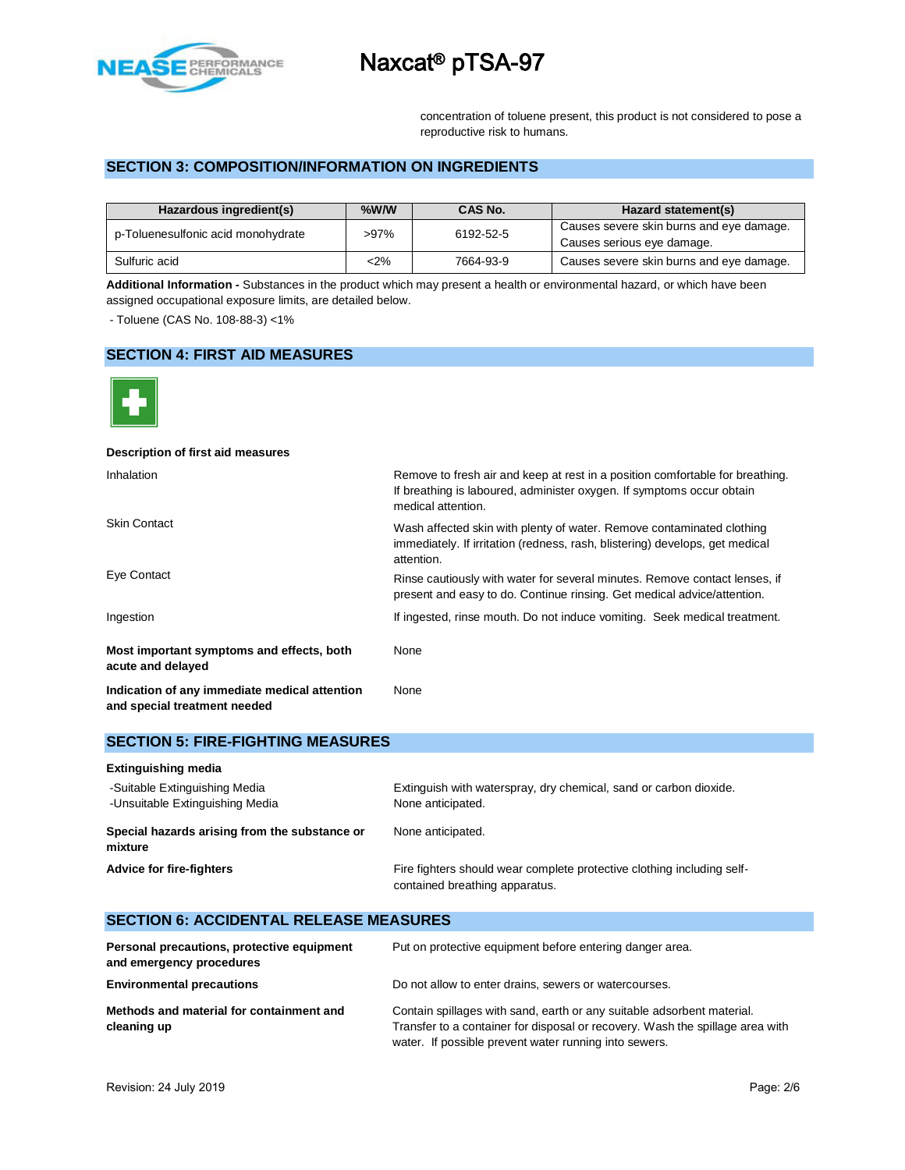

concentration of toluene present, this product is not considered to pose a reproductive risk to humans.

# **SECTION 3: COMPOSITION/INFORMATION ON INGREDIENTS**

| Hazardous ingredient(s)            | $%$ W/W | CAS No.   | Hazard statement(s)                                                    |
|------------------------------------|---------|-----------|------------------------------------------------------------------------|
| p-Toluenesulfonic acid monohydrate | $>97\%$ | 6192-52-5 | Causes severe skin burns and eye damage.<br>Causes serious eye damage. |
| Sulfuric acid                      | $2\%$   | 7664-93-9 | Causes severe skin burns and eye damage.                               |

**Additional Information -** Substances in the product which may present a health or environmental hazard, or which have been assigned occupational exposure limits, are detailed below.

- Toluene (CAS No. 108-88-3) <1%

## **SECTION 4: FIRST AID MEASURES**



| Description of first aid measures                                             |                                                                                                                                                                              |
|-------------------------------------------------------------------------------|------------------------------------------------------------------------------------------------------------------------------------------------------------------------------|
| Inhalation                                                                    | Remove to fresh air and keep at rest in a position comfortable for breathing.<br>If breathing is laboured, administer oxygen. If symptoms occur obtain<br>medical attention. |
| <b>Skin Contact</b>                                                           | Wash affected skin with plenty of water. Remove contaminated clothing<br>immediately. If irritation (redness, rash, blistering) develops, get medical<br>attention.          |
| Eye Contact                                                                   | Rinse cautiously with water for several minutes. Remove contact lenses, if<br>present and easy to do. Continue rinsing. Get medical advice/attention.                        |
| Ingestion                                                                     | If ingested, rinse mouth. Do not induce vomiting. Seek medical treatment.                                                                                                    |
| Most important symptoms and effects, both<br>acute and delayed                | None                                                                                                                                                                         |
| Indication of any immediate medical attention<br>and special treatment needed | None                                                                                                                                                                         |

| <b>SECTION 5: FIRE-FIGHTING MEASURES</b>                         |                                                                                                          |
|------------------------------------------------------------------|----------------------------------------------------------------------------------------------------------|
| <b>Extinguishing media</b>                                       |                                                                                                          |
| -Suitable Extinguishing Media<br>-Unsuitable Extinguishing Media | Extinguish with waterspray, dry chemical, sand or carbon dioxide.<br>None anticipated.                   |
| Special hazards arising from the substance or<br>mixture         | None anticipated.                                                                                        |
| <b>Advice for fire-fighters</b>                                  | Fire fighters should wear complete protective clothing including self-<br>contained breathing apparatus. |

| <b>SECTION 6: ACCIDENTAL RELEASE MEASURES</b>                          |                                                                                                                                                                                                                  |
|------------------------------------------------------------------------|------------------------------------------------------------------------------------------------------------------------------------------------------------------------------------------------------------------|
| Personal precautions, protective equipment<br>and emergency procedures | Put on protective equipment before entering danger area.                                                                                                                                                         |
| <b>Environmental precautions</b>                                       | Do not allow to enter drains, sewers or watercourses.                                                                                                                                                            |
| Methods and material for containment and<br>cleaning up                | Contain spillages with sand, earth or any suitable adsorbent material.<br>Transfer to a container for disposal or recovery. Wash the spillage area with<br>water. If possible prevent water running into sewers. |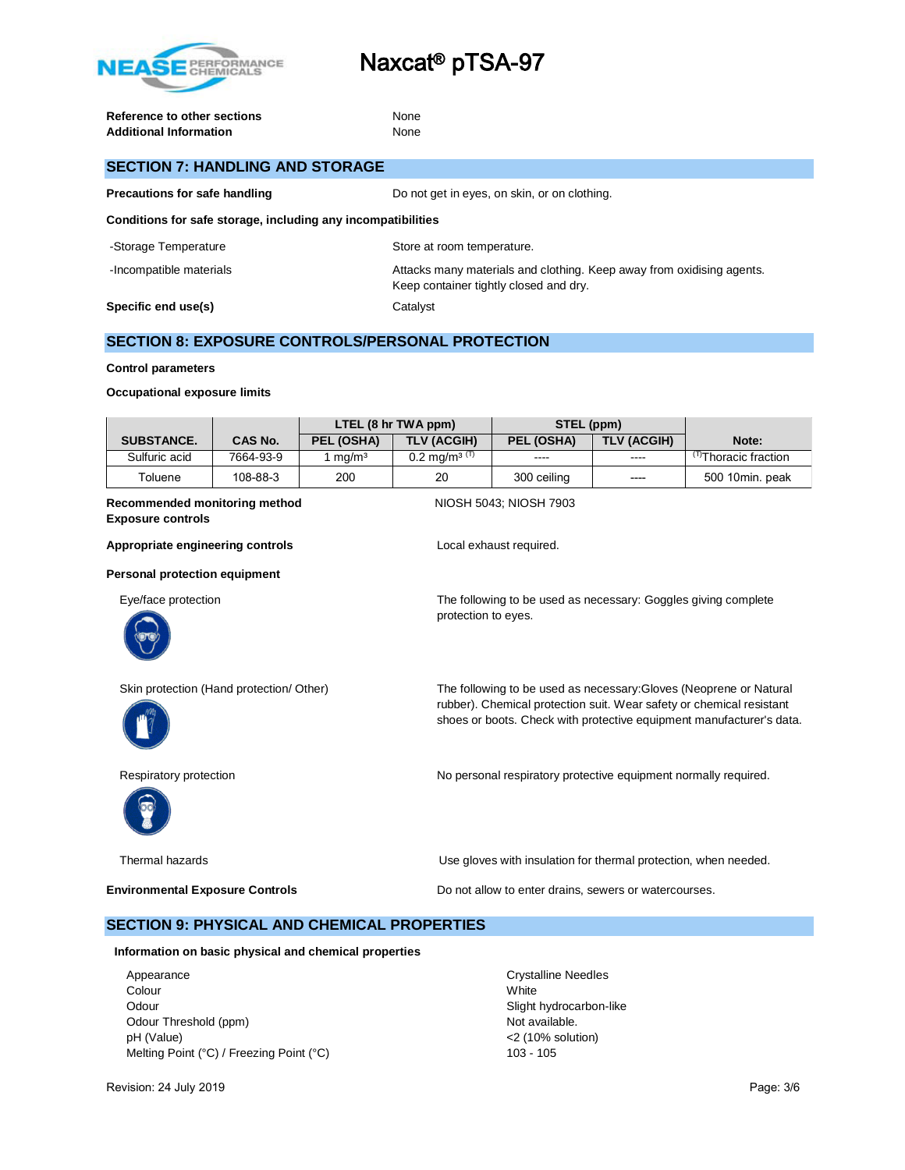

**Reference to other sections** None Additional Information **None** 

# **SECTION 7: HANDLING AND STORAGE**

**Precautions for safe handling** Do not get in eyes, on skin, or on clothing.

**Conditions for safe storage, including any incompatibilities**

| -Storage Temperature    | Store at room temperature.                                                                                      |
|-------------------------|-----------------------------------------------------------------------------------------------------------------|
| -Incompatible materials | Attacks many materials and clothing. Keep away from oxidising agents.<br>Keep container tightly closed and dry. |
| Specific end use(s)     | Catalvst                                                                                                        |

# **SECTION 8: EXPOSURE CONTROLS/PERSONAL PROTECTION**

#### **Control parameters**

#### **Occupational exposure limits**

|                   |                | LTEL (8 hr TWA ppm) |                            | STEL (ppm)  |             |                                  |
|-------------------|----------------|---------------------|----------------------------|-------------|-------------|----------------------------------|
| <b>SUBSTANCE.</b> | <b>CAS No.</b> | PEL (OSHA)          | <b>TLV (ACGIH)</b>         | PEL (OSHA)  | TLV (ACGIH) | Note:                            |
| Sulfuric acid     | 7664-93-9      | ma/m <sup>3</sup>   | $0.2 \text{ ma/m}^{3}$ (T) | ----        | $\cdots$    | <sup>(T)</sup> Thoracic fraction |
| Toluene           | 108-88-3       | 200                 | 20                         | 300 ceiling | $---$       | 500 10min. peak                  |
|                   |                |                     |                            |             |             |                                  |

#### **Recommended monitoring method NIOSH 5043; NIOSH 7903 Exposure controls**

protection to eyes.

Appropriate engineering controls **Appropriate engineering controls Local exhaust required.** 

**Personal protection equipment**

Eye/face protection The following to be used as necessary: Goggles giving complete





Skin protection (Hand protection/ Other) The following to be used as necessary:Gloves (Neoprene or Natural rubber). Chemical protection suit. Wear safety or chemical resistant shoes or boots. Check with protective equipment manufacturer's data.



Respiratory protection **No personal respiratory protective equipment normally required.** 

Thermal hazards Use gloves with insulation for thermal protection, when needed.

**Environmental Exposure Controls Example 20 and 20 and 20 and 20 and 20 and 20 and 20 and 20 and 20 and 20 and 20 and 20 and 20 and 20 and 20 and 20 and 20 and 20 and 20 and 20 and 20 and 20 and 20 and 20 and 20 and 20 a** 

### **SECTION 9: PHYSICAL AND CHEMICAL PROPERTIES**

**Information on basic physical and chemical properties**

Appearance **Crystalline Needles** Colour White Odour **Slight hydrocarbon-like** Odour Threshold (ppm) and the state of the state of the Not available. pH (Value) <2 (10% solution) Melting Point (°C) / Freezing Point (°C) 103 - 105

Revision: 24 July 2019 **Page: 3/6** Page: 3/6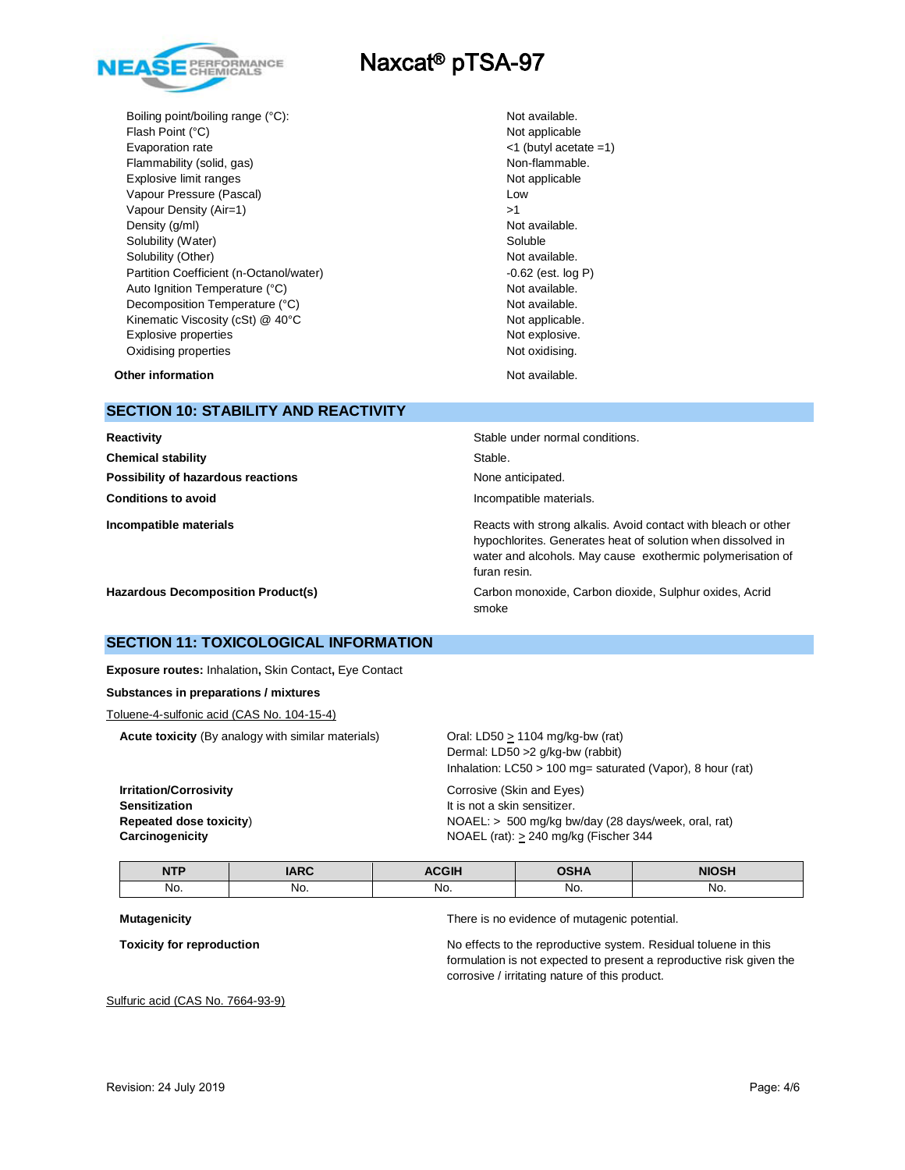

Boiling point/boiling range (°C): Not available. Flash Point (°C) Not applicable Not applicable Evaporation rate <1 (butyl acetate =1) Flammability (solid, gas) and the state of the state of the Non-flammable. Explosive limit ranges **Not applicable** Not applicable Vapour Pressure (Pascal) and the contract of the Low Low Vapour Density (Air=1)  $>1$ Density (g/ml) Not available. Solubility (Water) Soluble Soluble Solubility (Other) **Not available.** Not available. Partition Coefficient (n-Octanol/water) -0.62 (est. log P) Auto Ignition Temperature (°C) and the control of the Not available. Decomposition Temperature (°C) Not available. Kinematic Viscosity (cSt) @ 40°C Not applicable. Explosive properties **Not explosive.** Not explosive. Oxidising properties Not oxidising.

**Other information Not available. Other information** 

## **SECTION 10: STABILITY AND REACTIVITY**

| Reactivity                                | Stable under normal conditions.                                                                                                                                                                             |
|-------------------------------------------|-------------------------------------------------------------------------------------------------------------------------------------------------------------------------------------------------------------|
| <b>Chemical stability</b>                 | Stable.                                                                                                                                                                                                     |
| Possibility of hazardous reactions        | None anticipated.                                                                                                                                                                                           |
| <b>Conditions to avoid</b>                | Incompatible materials.                                                                                                                                                                                     |
| Incompatible materials                    | Reacts with strong alkalis. Avoid contact with bleach or other<br>hypochlorites. Generates heat of solution when dissolved in<br>water and alcohols. May cause exothermic polymerisation of<br>furan resin. |
| <b>Hazardous Decomposition Product(s)</b> | Carbon monoxide, Carbon dioxide, Sulphur oxides, Acrid<br>smoke                                                                                                                                             |

## **SECTION 11: TOXICOLOGICAL INFORMATION**

**Exposure routes:** Inhalation**,** Skin Contact**,** Eye Contact

#### **Substances in preparations / mixtures**

Toluene-4-sulfonic acid (CAS No. 104-15-4)

**Acute toxicity** (By analogy with similar materials) Oral: LD50 > 1104 mg/kg-bw (rat)

**Irritation/Corrosivity** Corrosive (Skin and Eyes) **Sensitization It is not a skin sensitizer.** 

Dermal: LD50 >2 g/kg-bw (rabbit) Inhalation: LC50 > 100 mg= saturated (Vapor), 8 hour (rat)

**Repeated dose toxicity**) NOAEL: > 500 mg/kg bw/day (28 days/week, oral, rat) **Carcinogenicity Carcinogenicity Carcinogenicity NOAEL** (rat):  $\geq$  240 mg/kg (Fischer 344

| <b>NTP</b><br> | ADO<br>_____ | ______ | $\sim$ $\sim$ $\sim$ | 0 1 1 |
|----------------|--------------|--------|----------------------|-------|
| No.            | No.          | No.    | No.                  | No.   |

**Mutagenicity** There is no evidence of mutagenic potential.

**Toxicity for reproduction** No effects to the reproductive system. Residual toluene in this formulation is not expected to present a reproductive risk given the corrosive / irritating nature of this product.

Sulfuric acid (CAS No. 7664-93-9)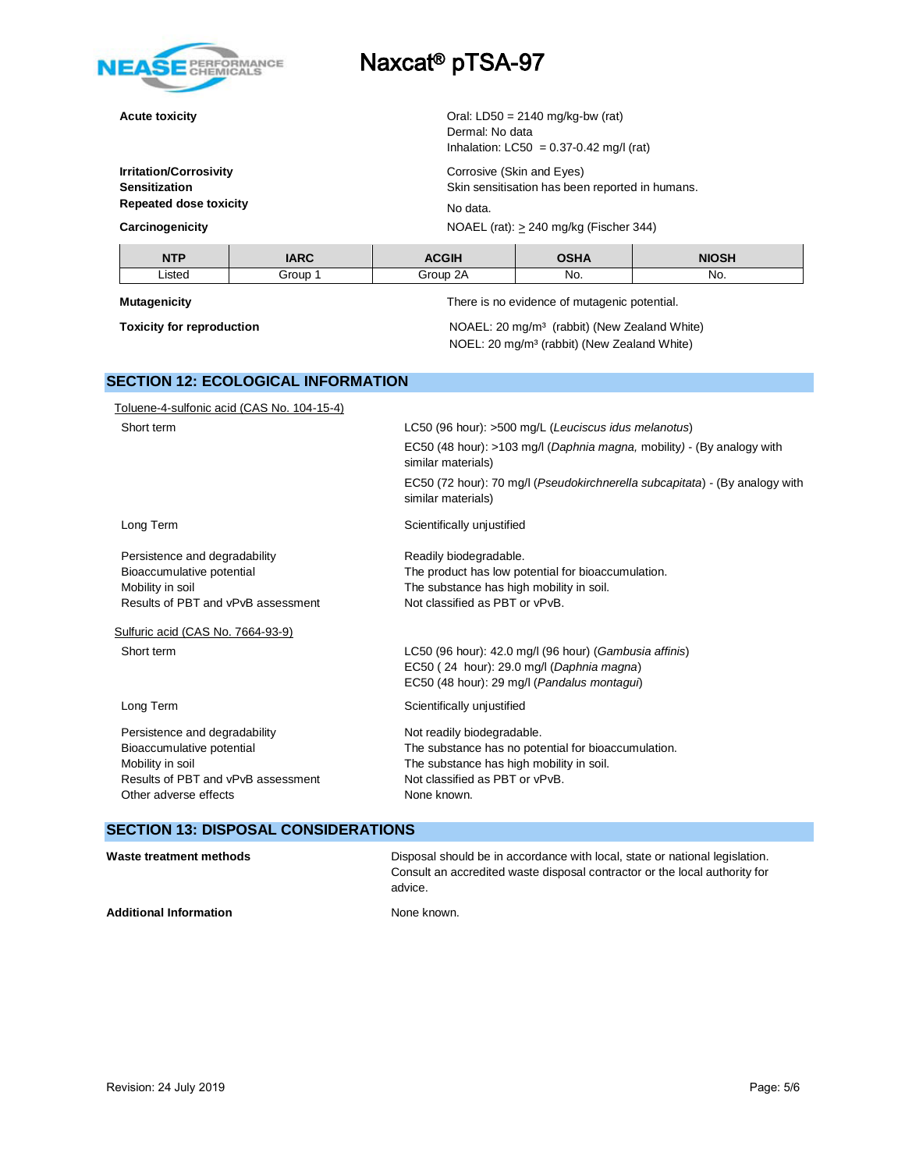

**Acute toxicity Acute toxicity Acute toxicity Acute toxicity Oral:** LD50 = 2140 mg/kg-bw (rat)

**Irritation/Corrosivity** Corrosive (Skin and Eyes) **Sensitization** Skin sensitisation has been reported in humans. **Repeated dose toxicity** No data.

**Carcinogenicity Carcinogenicity Carcinogenicity Carcinogenicity Carcinogenicity Carcinogenicity C** 

**NTP IARC ACGIH OSHA NIOSH** Listed | Group 1 Group 2A | No. | No.

Dermal: No data

**Mutagenicity** There is no evidence of mutagenic potential.

Inhalation:  $LC50 = 0.37 - 0.42$  mg/l (rat)

**Toxicity for reproduction NOAEL:** 20 mg/m<sup>3</sup> (rabbit) (New Zealand White) NOEL: 20 mg/m³ (rabbit) (New Zealand White)

# **SECTION 12: ECOLOGICAL INFORMATION**

| Toluene-4-sulfonic acid (CAS No. 104-15-4) |                                                                                                   |
|--------------------------------------------|---------------------------------------------------------------------------------------------------|
| Short term                                 | LC50 (96 hour): >500 mg/L (Leuciscus idus melanotus)                                              |
|                                            | EC50 (48 hour): >103 mg/l (Daphnia magna, mobility) - (By analogy with<br>similar materials)      |
|                                            | EC50 (72 hour): 70 mg/l (Pseudokirchnerella subcapitata) - (By analogy with<br>similar materials) |
| Long Term                                  | Scientifically unjustified                                                                        |
| Persistence and degradability              | Readily biodegradable.                                                                            |
| Bioaccumulative potential                  | The product has low potential for bioaccumulation.                                                |
| Mobility in soil                           | The substance has high mobility in soil.                                                          |
| Results of PBT and vPvB assessment         | Not classified as PBT or vPvB.                                                                    |
| Sulfuric acid (CAS No. 7664-93-9)          |                                                                                                   |
| Short term                                 | LC50 (96 hour): 42.0 mg/l (96 hour) (Gambusia affinis)                                            |
|                                            | EC50 (24 hour): 29.0 mg/l (Daphnia magna)                                                         |
|                                            | EC50 (48 hour): 29 mg/l (Pandalus montagui)                                                       |
| Long Term                                  | Scientifically unjustified                                                                        |
| Persistence and degradability              | Not readily biodegradable.                                                                        |
| Bioaccumulative potential                  | The substance has no potential for bioaccumulation.                                               |
| Mobility in soil                           | The substance has high mobility in soil.                                                          |
| Results of PBT and vPvB assessment         | Not classified as PBT or vPvB.                                                                    |
| Other adverse effects                      | None known.                                                                                       |
|                                            |                                                                                                   |

# **SECTION 13: DISPOSAL CONSIDERATIONS**

| Waste treatment methods       | Disposal should be in accordance with local, state or national legislation.<br>Consult an accredited waste disposal contractor or the local authority for<br>advice. |
|-------------------------------|----------------------------------------------------------------------------------------------------------------------------------------------------------------------|
| <b>Additional Information</b> | None known.                                                                                                                                                          |